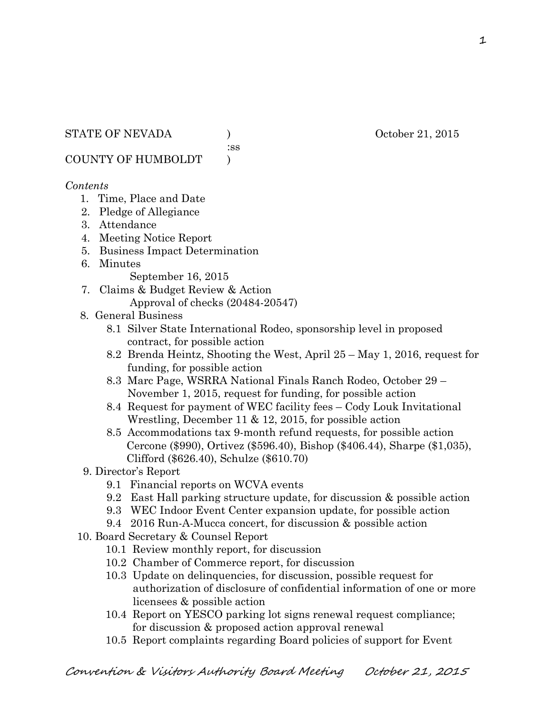:ss

COUNTY OF HUMBOLDT )

### *Contents*

- 1. Time, Place and Date
- 2. Pledge of Allegiance
- 3. Attendance
- 4. Meeting Notice Report
- 5. Business Impact Determination
- 6. Minutes

September 16, 2015

- 7. Claims & Budget Review & Action Approval of checks (20484-20547)
- 8. General Business
	- 8.1 Silver State International Rodeo, sponsorship level in proposed contract, for possible action
	- 8.2 Brenda Heintz, Shooting the West, April 25 May 1, 2016, request for funding, for possible action
	- 8.3 Marc Page, WSRRA National Finals Ranch Rodeo, October 29 November 1, 2015, request for funding, for possible action
	- 8.4 Request for payment of WEC facility fees Cody Louk Invitational Wrestling, December 11 & 12, 2015, for possible action
	- 8.5 Accommodations tax 9-month refund requests, for possible action Cercone (\$990), Ortivez (\$596.40), Bishop (\$406.44), Sharpe (\$1,035), Clifford (\$626.40), Schulze (\$610.70)
- 9. Director's Report
	- 9.1 Financial reports on WCVA events
	- 9.2 East Hall parking structure update, for discussion & possible action
	- 9.3 WEC Indoor Event Center expansion update, for possible action
	- 9.4 2016 Run-A-Mucca concert, for discussion & possible action
- 10. Board Secretary & Counsel Report
	- 10.1 Review monthly report, for discussion
	- 10.2 Chamber of Commerce report, for discussion
	- 10.3 Update on delinquencies, for discussion, possible request for authorization of disclosure of confidential information of one or more licensees & possible action
	- 10.4 Report on YESCO parking lot signs renewal request compliance; for discussion & proposed action approval renewal
	- 10.5 Report complaints regarding Board policies of support for Event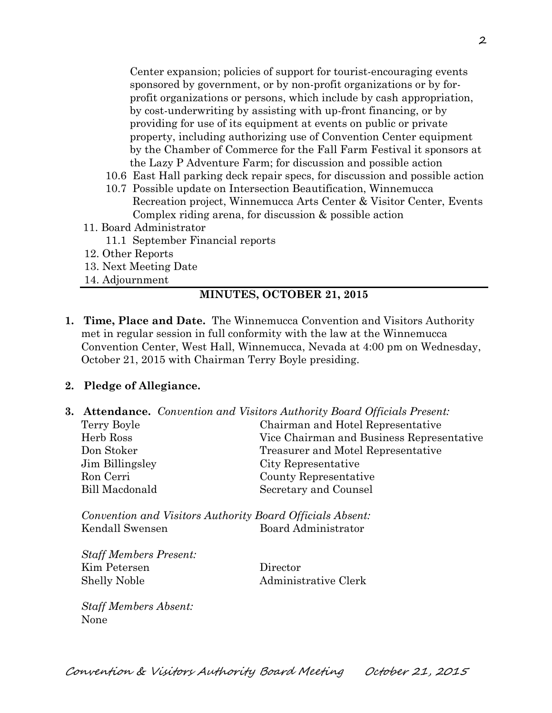2

Center expansion; policies of support for tourist-encouraging events sponsored by government, or by non-profit organizations or by forprofit organizations or persons, which include by cash appropriation, by cost-underwriting by assisting with up-front financing, or by providing for use of its equipment at events on public or private property, including authorizing use of Convention Center equipment by the Chamber of Commerce for the Fall Farm Festival it sponsors at the Lazy P Adventure Farm; for discussion and possible action

- 10.6 East Hall parking deck repair specs, for discussion and possible action
- 10.7 Possible update on Intersection Beautification, Winnemucca Recreation project, Winnemucca Arts Center & Visitor Center, Events Complex riding arena, for discussion & possible action
- 11. Board Administrator
	- 11.1 September Financial reports
- 12. Other Reports
- 13. Next Meeting Date
- 14. Adjournment

## **MINUTES, OCTOBER 21, 2015**

**1. Time, Place and Date.** The Winnemucca Convention and Visitors Authority met in regular session in full conformity with the law at the Winnemucca Convention Center, West Hall, Winnemucca, Nevada at 4:00 pm on Wednesday, October 21, 2015 with Chairman Terry Boyle presiding.

#### **2. Pledge of Allegiance.**

**3. Attendance.** *Convention and Visitors Authority Board Officials Present:*

| Terry Boyle     | Chairman and Hotel Representative         |  |
|-----------------|-------------------------------------------|--|
| Herb Ross       | Vice Chairman and Business Representative |  |
| Don Stoker      | Treasurer and Motel Representative        |  |
| Jim Billingsley | City Representative                       |  |
| Ron Cerri       | County Representative                     |  |
| Bill Macdonald  | Secretary and Counsel                     |  |
|                 |                                           |  |

*Convention and Visitors Authority Board Officials Absent:* Kendall Swensen Board Administrator

*Staff Members Present:* Kim Petersen Director Shelly Noble Administrative Clerk

*Staff Members Absent:* None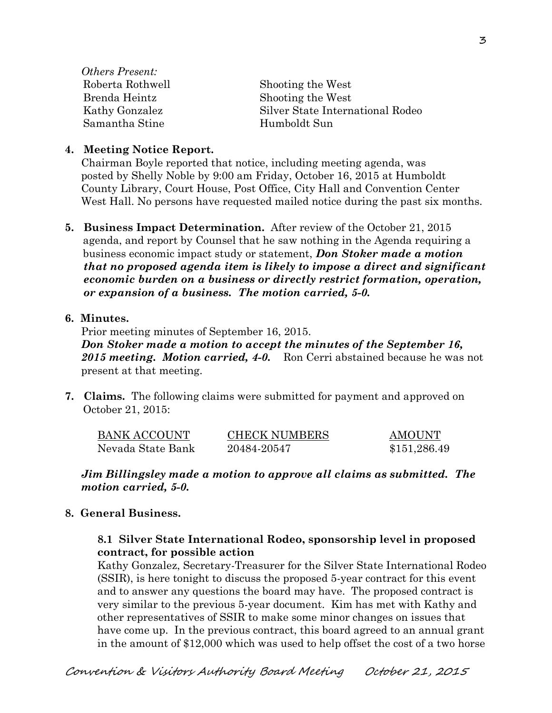| <i><b>Others Present:</b></i> |                                  |
|-------------------------------|----------------------------------|
| Roberta Rothwell              | Shooting the West                |
| Brenda Heintz                 | Shooting the West                |
| Kathy Gonzalez                | Silver State International Rodeo |
| Samantha Stine                | Humboldt Sun                     |
|                               |                                  |

## **4. Meeting Notice Report.**

Chairman Boyle reported that notice, including meeting agenda, was posted by Shelly Noble by 9:00 am Friday, October 16, 2015 at Humboldt County Library, Court House, Post Office, City Hall and Convention Center West Hall. No persons have requested mailed notice during the past six months.

**5. Business Impact Determination.** After review of the October 21, 2015 agenda, and report by Counsel that he saw nothing in the Agenda requiring a business economic impact study or statement, *Don Stoker made a motion that no proposed agenda item is likely to impose a direct and significant economic burden on a business or directly restrict formation, operation, or expansion of a business. The motion carried, 5-0.* 

### **6. Minutes.**

Prior meeting minutes of September 16, 2015.

*Don Stoker made a motion to accept the minutes of the September 16, 2015 meeting. Motion carried, 4-0.* Ron Cerri abstained because he was not present at that meeting.

**7. Claims.** The following claims were submitted for payment and approved on October 21, 2015:

| BANK ACCOUNT      | <b>CHECK NUMBERS</b> | AMOUNT       |
|-------------------|----------------------|--------------|
| Nevada State Bank | 20484-20547          | \$151,286.49 |

### *Jim Billingsley made a motion to approve all claims as submitted. The motion carried, 5-0.*

### **8. General Business.**

## **8.1 Silver State International Rodeo, sponsorship level in proposed contract, for possible action**

Kathy Gonzalez, Secretary-Treasurer for the Silver State International Rodeo (SSIR), is here tonight to discuss the proposed 5-year contract for this event and to answer any questions the board may have. The proposed contract is very similar to the previous 5-year document. Kim has met with Kathy and other representatives of SSIR to make some minor changes on issues that have come up. In the previous contract, this board agreed to an annual grant in the amount of \$12,000 which was used to help offset the cost of a two horse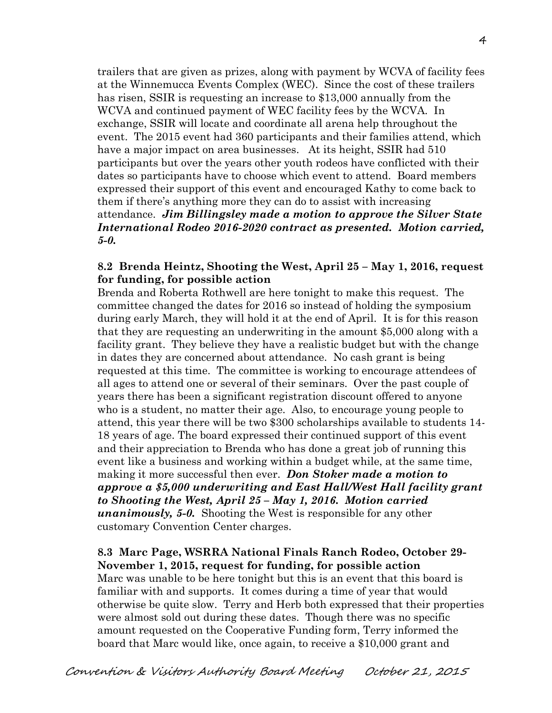trailers that are given as prizes, along with payment by WCVA of facility fees at the Winnemucca Events Complex (WEC). Since the cost of these trailers has risen, SSIR is requesting an increase to \$13,000 annually from the WCVA and continued payment of WEC facility fees by the WCVA. In exchange, SSIR will locate and coordinate all arena help throughout the event. The 2015 event had 360 participants and their families attend, which have a major impact on area businesses. At its height, SSIR had 510 participants but over the years other youth rodeos have conflicted with their dates so participants have to choose which event to attend. Board members expressed their support of this event and encouraged Kathy to come back to them if there's anything more they can do to assist with increasing attendance. *Jim Billingsley made a motion to approve the Silver State International Rodeo 2016-2020 contract as presented. Motion carried, 5-0.*

### **8.2 Brenda Heintz, Shooting the West, April 25 – May 1, 2016, request for funding, for possible action**

Brenda and Roberta Rothwell are here tonight to make this request. The committee changed the dates for 2016 so instead of holding the symposium during early March, they will hold it at the end of April. It is for this reason that they are requesting an underwriting in the amount \$5,000 along with a facility grant. They believe they have a realistic budget but with the change in dates they are concerned about attendance. No cash grant is being requested at this time. The committee is working to encourage attendees of all ages to attend one or several of their seminars. Over the past couple of years there has been a significant registration discount offered to anyone who is a student, no matter their age. Also, to encourage young people to attend, this year there will be two \$300 scholarships available to students 14- 18 years of age. The board expressed their continued support of this event and their appreciation to Brenda who has done a great job of running this event like a business and working within a budget while, at the same time, making it more successful then ever. *Don Stoker made a motion to approve a \$5,000 underwriting and East Hall/West Hall facility grant to Shooting the West, April 25 – May 1, 2016. Motion carried unanimously, 5-0.* Shooting the West is responsible for any other customary Convention Center charges.

**8.3 Marc Page, WSRRA National Finals Ranch Rodeo, October 29- November 1, 2015, request for funding, for possible action** Marc was unable to be here tonight but this is an event that this board is familiar with and supports. It comes during a time of year that would otherwise be quite slow. Terry and Herb both expressed that their properties were almost sold out during these dates. Though there was no specific amount requested on the Cooperative Funding form, Terry informed the board that Marc would like, once again, to receive a \$10,000 grant and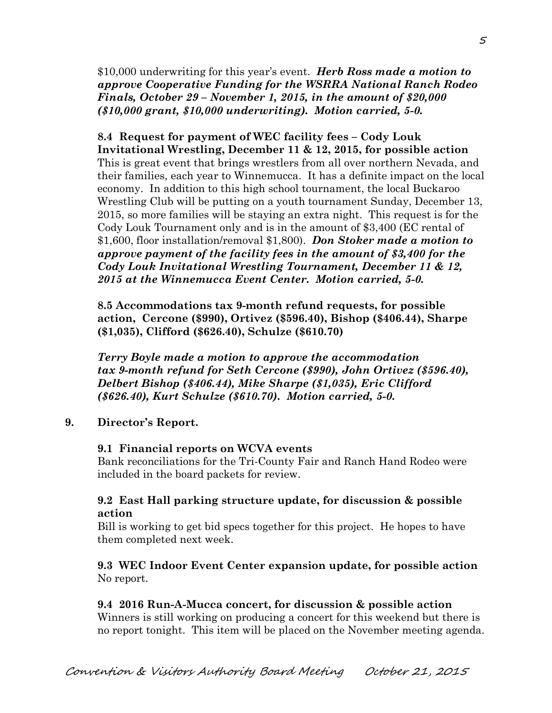\$10,000 underwriting for this year's event. *Herb Ross made a motion to approve Cooperative Funding for the WSRRA National Ranch Rodeo Finals, October 29 – November 1, 2015, in the amount of \$20,000 (\$10,000 grant, \$10,000 underwriting). Motion carried, 5-0.* 

**8.4 Request for payment of WEC facility fees – Cody Louk Invitational Wrestling, December 11 & 12, 2015, for possible action** This is great event that brings wrestlers from all over northern Nevada, and their families, each year to Winnemucca. It has a definite impact on the local economy. In addition to this high school tournament, the local Buckaroo Wrestling Club will be putting on a youth tournament Sunday, December 13, 2015, so more families will be staying an extra night. This request is for the Cody Louk Tournament only and is in the amount of \$3,400 (EC rental of \$1,600, floor installation/removal \$1,800). *Don Stoker made a motion to approve payment of the facility fees in the amount of \$3,400 for the Cody Louk Invitational Wrestling Tournament, December 11 & 12, 2015 at the Winnemucca Event Center. Motion carried, 5-0.* 

**8.5 Accommodations tax 9-month refund requests, for possible action, Cercone (\$990), Ortivez (\$596.40), Bishop (\$406.44), Sharpe (\$1,035), Clifford (\$626.40), Schulze (\$610.70)**

*Terry Boyle made a motion to approve the accommodation tax 9-month refund for Seth Cercone (\$990), John Ortivez (\$596.40), Delbert Bishop (\$406.44), Mike Sharpe (\$1,035), Eric Clifford (\$626.40), Kurt Schulze (\$610.70). Motion carried, 5-0.*

### **9. Director's Report.**

### **9.1 Financial reports on WCVA events**

Bank reconciliations for the Tri-County Fair and Ranch Hand Rodeo were included in the board packets for review.

### **9.2 East Hall parking structure update, for discussion & possible action**

Bill is working to get bid specs together for this project. He hopes to have them completed next week.

**9.3 WEC Indoor Event Center expansion update, for possible action** No report.

### **9.4 2016 Run-A-Mucca concert, for discussion & possible action**

Winners is still working on producing a concert for this weekend but there is no report tonight. This item will be placed on the November meeting agenda.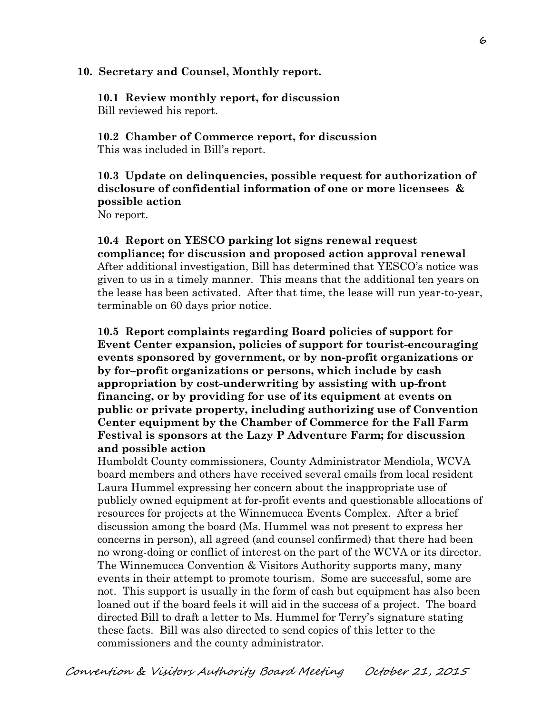### **10. Secretary and Counsel, Monthly report.**

**10.1 Review monthly report, for discussion** Bill reviewed his report.

**10.2 Chamber of Commerce report, for discussion** This was included in Bill's report.

# **10.3 Update on delinquencies, possible request for authorization of disclosure of confidential information of one or more licensees & possible action**

No report.

**10.4 Report on YESCO parking lot signs renewal request compliance; for discussion and proposed action approval renewal** After additional investigation, Bill has determined that YESCO's notice was given to us in a timely manner. This means that the additional ten years on the lease has been activated. After that time, the lease will run year-to-year, terminable on 60 days prior notice.

**10.5 Report complaints regarding Board policies of support for Event Center expansion, policies of support for tourist-encouraging events sponsored by government, or by non-profit organizations or by for–profit organizations or persons, which include by cash appropriation by cost-underwriting by assisting with up-front financing, or by providing for use of its equipment at events on public or private property, including authorizing use of Convention Center equipment by the Chamber of Commerce for the Fall Farm Festival is sponsors at the Lazy P Adventure Farm; for discussion and possible action**

Humboldt County commissioners, County Administrator Mendiola, WCVA board members and others have received several emails from local resident Laura Hummel expressing her concern about the inappropriate use of publicly owned equipment at for-profit events and questionable allocations of resources for projects at the Winnemucca Events Complex. After a brief discussion among the board (Ms. Hummel was not present to express her concerns in person), all agreed (and counsel confirmed) that there had been no wrong-doing or conflict of interest on the part of the WCVA or its director. The Winnemucca Convention & Visitors Authority supports many, many events in their attempt to promote tourism. Some are successful, some are not. This support is usually in the form of cash but equipment has also been loaned out if the board feels it will aid in the success of a project. The board directed Bill to draft a letter to Ms. Hummel for Terry's signature stating these facts. Bill was also directed to send copies of this letter to the commissioners and the county administrator.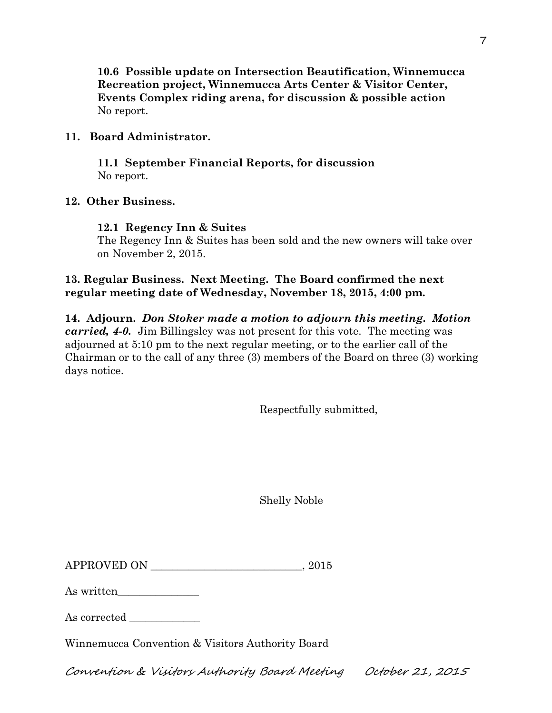**10.6 Possible update on Intersection Beautification, Winnemucca Recreation project, Winnemucca Arts Center & Visitor Center, Events Complex riding arena, for discussion & possible action** No report.

## **11. Board Administrator.**

**11.1 September Financial Reports, for discussion** No report.

### **12. Other Business.**

### **12.1 Regency Inn & Suites**

The Regency Inn & Suites has been sold and the new owners will take over on November 2, 2015.

# **13. Regular Business. Next Meeting. The Board confirmed the next regular meeting date of Wednesday, November 18, 2015, 4:00 pm.**

**14. Adjourn.** *Don Stoker made a motion to adjourn this meeting. Motion carried, 4-0.* Jim Billingsley was not present for this vote. The meeting was adjourned at 5:10 pm to the next regular meeting, or to the earlier call of the Chairman or to the call of any three (3) members of the Board on three (3) working days notice.

Respectfully submitted,

Shelly Noble

| <b>APPROVED ON</b> | 2015 |
|--------------------|------|
|                    |      |

As written\_\_\_\_\_\_\_\_\_\_\_\_\_\_\_

As corrected  $\_\_$ 

Winnemucca Convention & Visitors Authority Board

Convention & Visitors Authority Board Meeting October 21, 2015